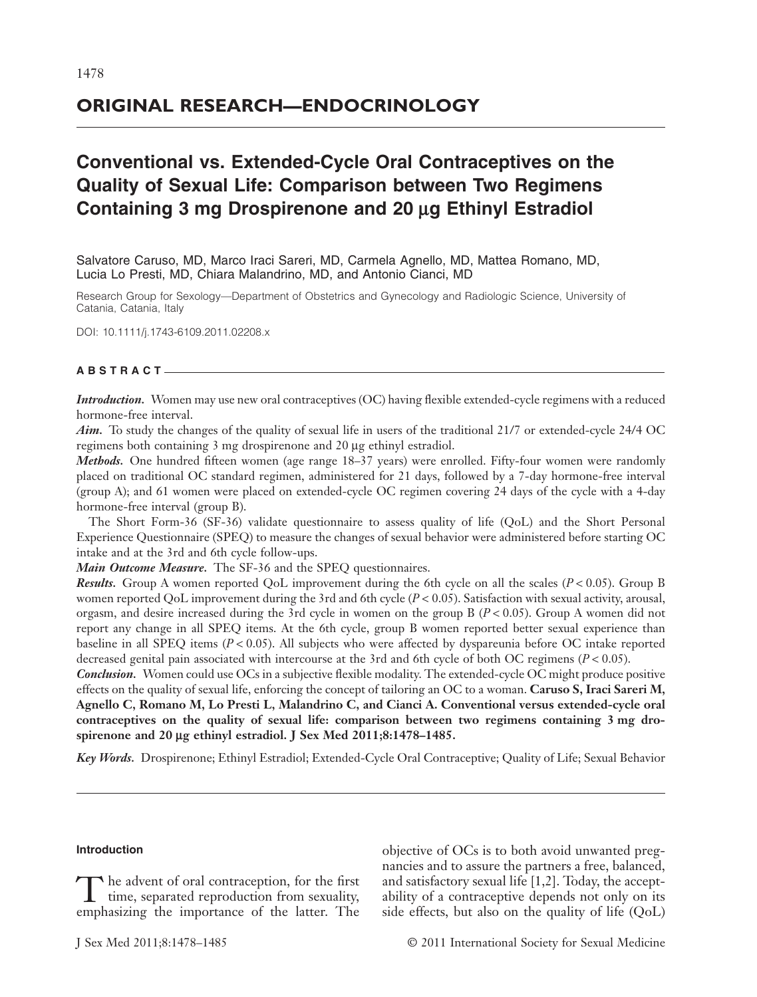## **ORIGINAL RESEARCH—ENDOCRINOLOGY**

# **Conventional vs. Extended-Cycle Oral Contraceptives on the Quality of Sexual Life: Comparison between Two Regimens** Containing 3 mg Drospirenone and 20 µg Ethinyl Estradiol

Salvatore Caruso, MD, Marco Iraci Sareri, MD, Carmela Agnello, MD, Mattea Romano, MD, Lucia Lo Presti, MD, Chiara Malandrino, MD, and Antonio Cianci, MD

Research Group for Sexology—Department of Obstetrics and Gynecology and Radiologic Science, University of Catania, Catania, Italy

DOI: 10.1111/j.1743-6109.2011.02208.x

## **ABSTRACT**

*Introduction.* Women may use new oral contraceptives (OC) having flexible extended-cycle regimens with a reduced hormone-free interval.

*Aim.* To study the changes of the quality of sexual life in users of the traditional 21/7 or extended-cycle 24/4 OC regimens both containing 3 mg drospirenone and 20 µg ethinyl estradiol.

*Methods.* One hundred fifteen women (age range 18–37 years) were enrolled. Fifty-four women were randomly placed on traditional OC standard regimen, administered for 21 days, followed by a 7-day hormone-free interval (group A); and 61 women were placed on extended-cycle OC regimen covering 24 days of the cycle with a 4-day hormone-free interval (group B).

The Short Form-36 (SF-36) validate questionnaire to assess quality of life (QoL) and the Short Personal Experience Questionnaire (SPEQ) to measure the changes of sexual behavior were administered before starting OC intake and at the 3rd and 6th cycle follow-ups.

*Main Outcome Measure.* The SF-36 and the SPEQ questionnaires.

*Results.* Group A women reported QoL improvement during the 6th cycle on all the scales (*P* < 0.05). Group B women reported QoL improvement during the 3rd and 6th cycle (*P* < 0.05). Satisfaction with sexual activity, arousal, orgasm, and desire increased during the 3rd cycle in women on the group B (*P* < 0.05). Group A women did not report any change in all SPEQ items. At the 6th cycle, group B women reported better sexual experience than baseline in all SPEQ items (*P* < 0.05). All subjects who were affected by dyspareunia before OC intake reported decreased genital pain associated with intercourse at the 3rd and 6th cycle of both OC regimens (*P* < 0.05).

*Conclusion.* Women could use OCs in a subjective flexible modality. The extended-cycle OC might produce positive effects on the quality of sexual life, enforcing the concept of tailoring an OC to a woman. **Caruso S, Iraci Sareri M, Agnello C, Romano M, Lo Presti L, Malandrino C, and Cianci A. Conventional versus extended-cycle oral contraceptives on the quality of sexual life: comparison between two regimens containing 3 mg dro**spirenone and 20 µg ethinyl estradiol. J Sex Med 2011;8:1478-1485.

*Key Words.* Drospirenone; Ethinyl Estradiol; Extended-Cycle Oral Contraceptive; Quality of Life; Sexual Behavior

## **Introduction**

The advent of oral contraception, for the first<br>time, separated reproduction from sexuality,<br>emphasizing the importance of the latter. The emphasizing the importance of the latter. The objective of OCs is to both avoid unwanted pregnancies and to assure the partners a free, balanced, and satisfactory sexual life [1,2]. Today, the acceptability of a contraceptive depends not only on its side effects, but also on the quality of life (QoL)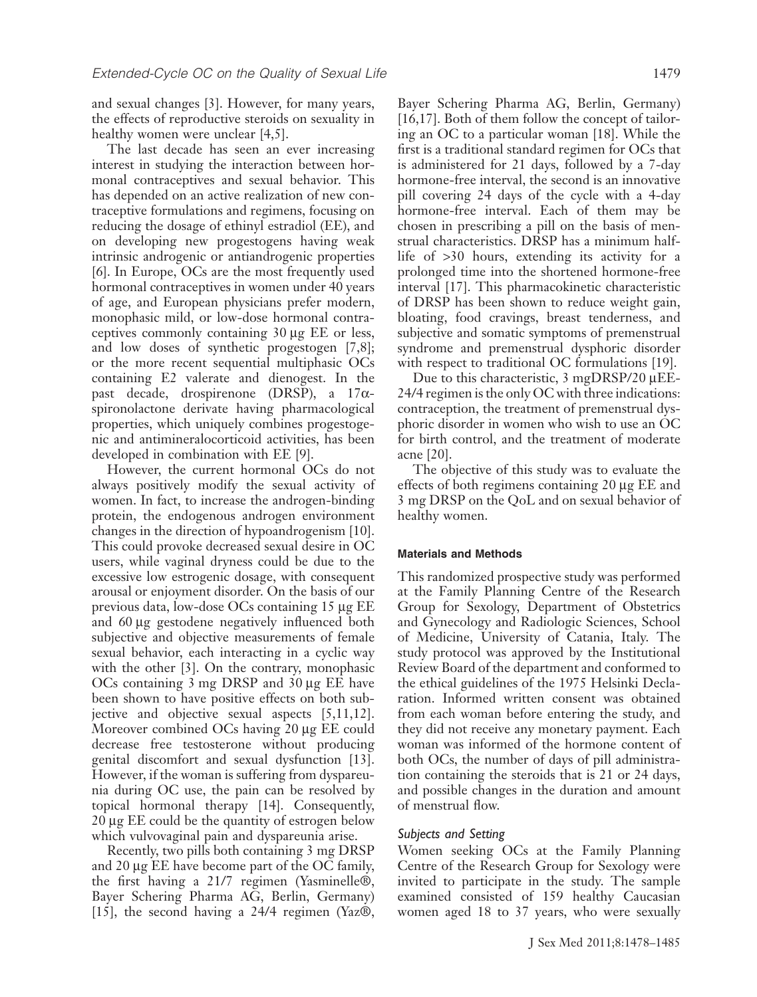and sexual changes [3]. However, for many years, the effects of reproductive steroids on sexuality in healthy women were unclear [4,5].

The last decade has seen an ever increasing interest in studying the interaction between hormonal contraceptives and sexual behavior. This has depended on an active realization of new contraceptive formulations and regimens, focusing on reducing the dosage of ethinyl estradiol (EE), and on developing new progestogens having weak intrinsic androgenic or antiandrogenic properties [6]. In Europe, OCs are the most frequently used hormonal contraceptives in women under 40 years of age, and European physicians prefer modern, monophasic mild, or low-dose hormonal contraceptives commonly containing 30 mg EE or less, and low doses of synthetic progestogen [7,8]; or the more recent sequential multiphasic OCs containing E2 valerate and dienogest. In the past decade, drospirenone (DRSP), a  $17\alpha$ spironolactone derivate having pharmacological properties, which uniquely combines progestogenic and antimineralocorticoid activities, has been developed in combination with EE [9].

However, the current hormonal OCs do not always positively modify the sexual activity of women. In fact, to increase the androgen-binding protein, the endogenous androgen environment changes in the direction of hypoandrogenism [10]. This could provoke decreased sexual desire in OC users, while vaginal dryness could be due to the excessive low estrogenic dosage, with consequent arousal or enjoyment disorder. On the basis of our previous data, low-dose OCs containing 15 µg EE and 60 µg gestodene negatively influenced both subjective and objective measurements of female sexual behavior, each interacting in a cyclic way with the other [3]. On the contrary, monophasic  $OCs$  containing 3 mg DRSP and 30  $\mu$ g EE have been shown to have positive effects on both subjective and objective sexual aspects [5,11,12]. Moreover combined OCs having 20 µg EE could decrease free testosterone without producing genital discomfort and sexual dysfunction [13]. However, if the woman is suffering from dyspareunia during OC use, the pain can be resolved by topical hormonal therapy [14]. Consequently,  $20 \mu$ g EE could be the quantity of estrogen below which vulvovaginal pain and dyspareunia arise.

Recently, two pills both containing 3 mg DRSP and 20 µg EE have become part of the OC family, the first having a 21/7 regimen (Yasminelle®, Bayer Schering Pharma AG, Berlin, Germany) [15], the second having a 24/4 regimen (Yaz®,

Bayer Schering Pharma AG, Berlin, Germany) [16,17]. Both of them follow the concept of tailoring an OC to a particular woman [18]. While the first is a traditional standard regimen for OCs that is administered for 21 days, followed by a 7-day hormone-free interval, the second is an innovative pill covering 24 days of the cycle with a 4-day hormone-free interval. Each of them may be chosen in prescribing a pill on the basis of menstrual characteristics. DRSP has a minimum halflife of >30 hours, extending its activity for a prolonged time into the shortened hormone-free interval [17]. This pharmacokinetic characteristic of DRSP has been shown to reduce weight gain, bloating, food cravings, breast tenderness, and subjective and somatic symptoms of premenstrual syndrome and premenstrual dysphoric disorder with respect to traditional OC formulations [19].

Due to this characteristic,  $3 \text{ mgDRSP}/20 \mu \text{EE}$ -24/4 regimen is the only OC with three indications: contraception, the treatment of premenstrual dysphoric disorder in women who wish to use an OC for birth control, and the treatment of moderate acne [20].

The objective of this study was to evaluate the effects of both regimens containing  $20 \mu g$  EE and 3 mg DRSP on the QoL and on sexual behavior of healthy women.

## **Materials and Methods**

This randomized prospective study was performed at the Family Planning Centre of the Research Group for Sexology, Department of Obstetrics and Gynecology and Radiologic Sciences, School of Medicine, University of Catania, Italy. The study protocol was approved by the Institutional Review Board of the department and conformed to the ethical guidelines of the 1975 Helsinki Declaration. Informed written consent was obtained from each woman before entering the study, and they did not receive any monetary payment. Each woman was informed of the hormone content of both OCs, the number of days of pill administration containing the steroids that is 21 or 24 days, and possible changes in the duration and amount of menstrual flow.

## *Subjects and Setting*

Women seeking OCs at the Family Planning Centre of the Research Group for Sexology were invited to participate in the study. The sample examined consisted of 159 healthy Caucasian women aged 18 to 37 years, who were sexually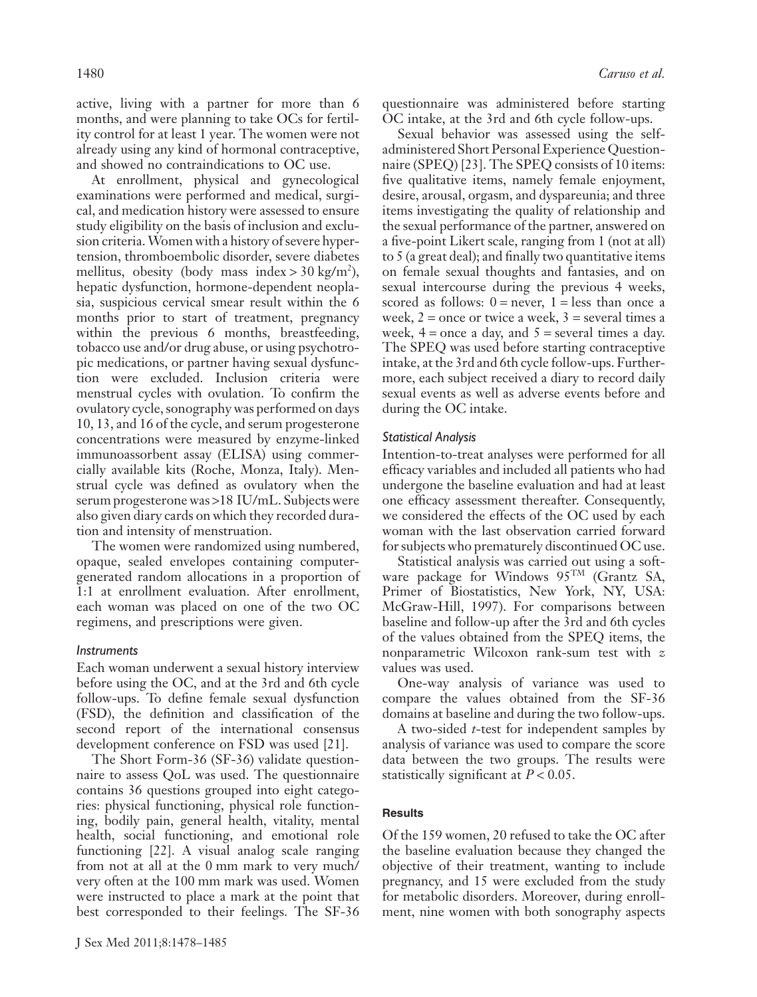active, living with a partner for more than 6 months, and were planning to take OCs for fertility control for at least 1 year. The women were not already using any kind of hormonal contraceptive, and showed no contraindications to OC use.

At enrollment, physical and gynecological examinations were performed and medical, surgical, and medication history were assessed to ensure study eligibility on the basis of inclusion and exclusion criteria.Women with a history of severe hypertension, thromboembolic disorder, severe diabetes mellitus, obesity (body mass index > 30 kg/m<sup>2</sup>), hepatic dysfunction, hormone-dependent neoplasia, suspicious cervical smear result within the 6 months prior to start of treatment, pregnancy within the previous 6 months, breastfeeding, tobacco use and/or drug abuse, or using psychotropic medications, or partner having sexual dysfunction were excluded. Inclusion criteria were menstrual cycles with ovulation. To confirm the ovulatory cycle, sonography was performed on days 10, 13, and 16 of the cycle, and serum progesterone concentrations were measured by enzyme-linked immunoassorbent assay (ELISA) using commercially available kits (Roche, Monza, Italy). Menstrual cycle was defined as ovulatory when the serum progesterone was >18 IU/mL. Subjects were also given diary cards on which they recorded duration and intensity of menstruation.

The women were randomized using numbered, opaque, sealed envelopes containing computergenerated random allocations in a proportion of 1:1 at enrollment evaluation. After enrollment, each woman was placed on one of the two OC regimens, and prescriptions were given.

## *Instruments*

Each woman underwent a sexual history interview before using the OC, and at the 3rd and 6th cycle follow-ups. To define female sexual dysfunction (FSD), the definition and classification of the second report of the international consensus development conference on FSD was used [21].

The Short Form-36 (SF-36) validate questionnaire to assess QoL was used. The questionnaire contains 36 questions grouped into eight categories: physical functioning, physical role functioning, bodily pain, general health, vitality, mental health, social functioning, and emotional role functioning [22]. A visual analog scale ranging from not at all at the 0 mm mark to very much/ very often at the 100 mm mark was used. Women were instructed to place a mark at the point that best corresponded to their feelings. The SF-36 questionnaire was administered before starting OC intake, at the 3rd and 6th cycle follow-ups.

Sexual behavior was assessed using the selfadministered Short Personal Experience Questionnaire (SPEQ) [23]. The SPEQ consists of 10 items: five qualitative items, namely female enjoyment, desire, arousal, orgasm, and dyspareunia; and three items investigating the quality of relationship and the sexual performance of the partner, answered on a five-point Likert scale, ranging from 1 (not at all) to 5 (a great deal); and finally two quantitative items on female sexual thoughts and fantasies, and on sexual intercourse during the previous 4 weeks, scored as follows:  $0 =$  never,  $1 =$  less than once a week,  $2 =$  once or twice a week,  $3 =$  several times a week,  $4 =$  once a day, and  $5 =$  several times a day. The SPEQ was used before starting contraceptive intake, at the 3rd and 6th cycle follow-ups. Furthermore, each subject received a diary to record daily sexual events as well as adverse events before and during the OC intake.

## *Statistical Analysis*

Intention-to-treat analyses were performed for all efficacy variables and included all patients who had undergone the baseline evaluation and had at least one efficacy assessment thereafter. Consequently, we considered the effects of the OC used by each woman with the last observation carried forward for subjects who prematurely discontinued OC use.

Statistical analysis was carried out using a software package for Windows 95TM (Grantz SA, Primer of Biostatistics, New York, NY, USA: McGraw-Hill, 1997). For comparisons between baseline and follow-up after the 3rd and 6th cycles of the values obtained from the SPEQ items, the nonparametric Wilcoxon rank-sum test with *z* values was used.

One-way analysis of variance was used to compare the values obtained from the SF-36 domains at baseline and during the two follow-ups.

A two-sided *t*-test for independent samples by analysis of variance was used to compare the score data between the two groups. The results were statistically significant at *P* < 0.05.

## **Results**

Of the 159 women, 20 refused to take the OC after the baseline evaluation because they changed the objective of their treatment, wanting to include pregnancy, and 15 were excluded from the study for metabolic disorders. Moreover, during enrollment, nine women with both sonography aspects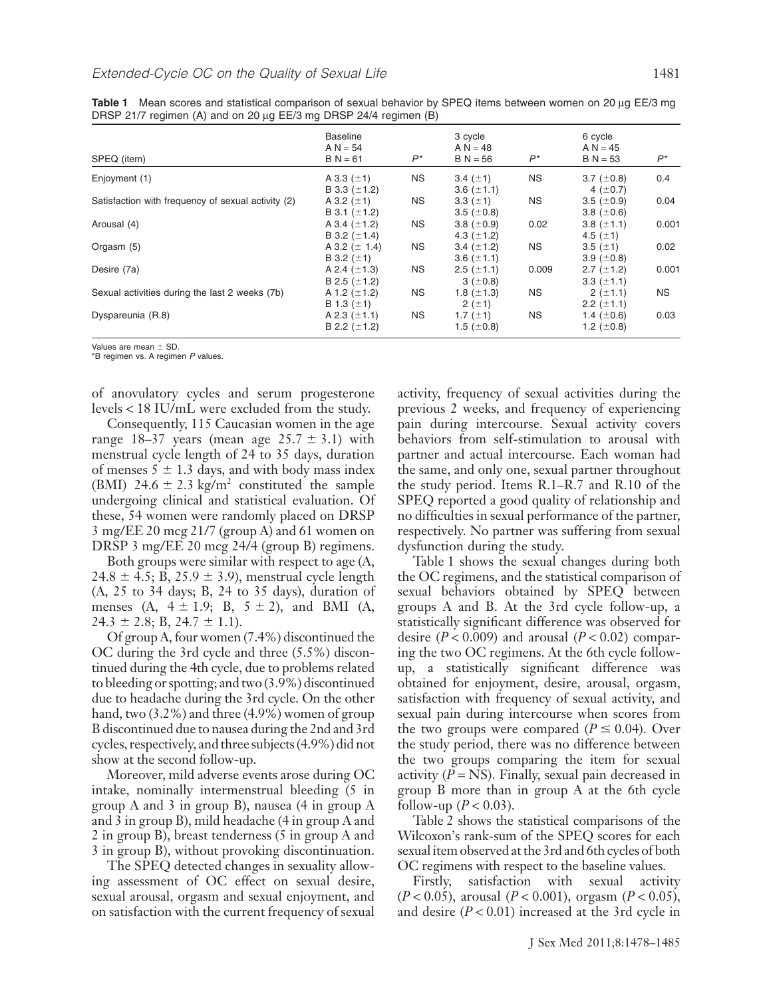| SPEQ (item)                                        | <b>Baseline</b><br>$A N = 54$<br>$B N = 61$ | $P^*$     | 3 cycle<br>$A N = 48$<br>$B N = 56$ | 6 cycle<br>$A N = 45$<br>$P^*$<br>$B N = 53$ |                                    |       |
|----------------------------------------------------|---------------------------------------------|-----------|-------------------------------------|----------------------------------------------|------------------------------------|-------|
| Enjoyment (1)                                      | NS<br>A 3.3 $(\pm 1)$                       |           | <b>NS</b><br>3.4 $(\pm 1)$          |                                              | 3.7 $(\pm 0.8)$                    | 0.4   |
|                                                    | B 3.3 $(\pm 1.2)$                           |           | 3.6 $(\pm 1.1)$                     |                                              | 4 ( $\pm$ 0.7)                     |       |
| Satisfaction with frequency of sexual activity (2) | A 3.2 $(\pm 1)$<br>B 3.1 $(\pm 1.2)$        | NS        | 3.3 $(\pm 1)$<br>3.5 $(\pm 0.8)$    | <b>NS</b>                                    | $3.5~(\pm 0.9)$<br>3.8 $(\pm 0.6)$ | 0.04  |
| Arousal (4)                                        | A 3.4 $(\pm 1.2)$                           | NS        | 3.8 $(\pm 0.9)$                     | 0.02                                         | 3.8 $(\pm 1.1)$                    | 0.001 |
| Orgasm (5)                                         | B 3.2 $(\pm 1.4)$<br>A 3.2 ( $\pm$ 1.4)     | NS        | 4.3 $(\pm 1.2)$<br>3.4 $(\pm 1.2)$  | <b>NS</b>                                    | 4.5 $(\pm 1)$<br>3.5 $(\pm 1)$     | 0.02  |
|                                                    | B 3.2 $(\pm 1)$                             |           | 3.6 $(\pm 1.1)$                     |                                              | 3.9 ( $\pm$ 0.8)                   |       |
| Desire (7a)                                        | A 2.4 $(\pm 1.3)$<br>B 2.5 $(\pm 1.2)$      | <b>NS</b> | $2.5$ ( $\pm$ 1.1)<br>$3 (+0.8)$    | 0.009                                        | 2.7 $(\pm 1.2)$<br>3.3 $(\pm 1.1)$ | 0.001 |
| Sexual activities during the last 2 weeks (7b)     | A 1.2 ( $\pm$ 1.2)                          | NS.       | 1.8 $(\pm 1.3)$                     | <b>NS</b>                                    | $2 (+1.1)$                         | NS.   |
| Dyspareunia (R.8)                                  | B 1.3 $(\pm 1)$<br>A 2.3 $(\pm 1.1)$        | ΝS        | $2 (+1)$<br>1.7 $(\pm 1)$           | <b>NS</b>                                    | 2.2 $(\pm 1.1)$<br>1.4 $(\pm 0.6)$ | 0.03  |
|                                                    | B 2.2 $(\pm 1.2)$                           |           | 1.5 $(\pm 0.8)$                     |                                              | 1.2 $(\pm 0.8)$                    |       |

Table 1 Mean scores and statistical comparison of sexual behavior by SPEQ items between women on 20 µg EE/3 mg DRSP 21/7 regimen (A) and on 20 µg EE/3 mg DRSP 24/4 regimen (B)

Values are mean  $\pm$  SD.

\*B regimen vs. A regimen *P* values.

of anovulatory cycles and serum progesterone levels < 18 IU/mL were excluded from the study.

Consequently, 115 Caucasian women in the age range 18–37 years (mean age  $25.7 \pm 3.1$ ) with menstrual cycle length of 24 to 35 days, duration of menses  $5 \pm 1.3$  days, and with body mass index (BMI) 24.6  $\pm$  2.3 kg/m<sup>2</sup> constituted the sample undergoing clinical and statistical evaluation. Of these, 54 women were randomly placed on DRSP 3 mg/EE 20 mcg 21/7 (group A) and 61 women on DRSP 3 mg/EE 20 mcg 24/4 (group B) regimens.

Both groups were similar with respect to age (A,  $24.8 \pm 4.5$ ; B,  $25.9 \pm 3.9$ ), menstrual cycle length (A, 25 to 34 days; B, 24 to 35 days), duration of menses (A,  $4 \pm 1.9$ ; B,  $5 \pm 2$ ), and BMI (A,  $24.3 \pm 2.8$ ; B,  $24.7 \pm 1.1$ ).

Of group A, four women (7.4%) discontinued the OC during the 3rd cycle and three (5.5%) discontinued during the 4th cycle, due to problems related to bleeding or spotting; and two (3.9%) discontinued due to headache during the 3rd cycle. On the other hand, two (3.2%) and three (4.9%) women of group B discontinued due to nausea during the 2nd and 3rd cycles, respectively, and three subjects (4.9%) did not show at the second follow-up.

Moreover, mild adverse events arose during OC intake, nominally intermenstrual bleeding (5 in group A and 3 in group B), nausea (4 in group A and 3 in group B), mild headache (4 in group A and 2 in group B), breast tenderness (5 in group A and 3 in group B), without provoking discontinuation.

The SPEQ detected changes in sexuality allowing assessment of OC effect on sexual desire, sexual arousal, orgasm and sexual enjoyment, and on satisfaction with the current frequency of sexual

activity, frequency of sexual activities during the previous 2 weeks, and frequency of experiencing pain during intercourse. Sexual activity covers behaviors from self-stimulation to arousal with partner and actual intercourse. Each woman had the same, and only one, sexual partner throughout the study period. Items R.1–R.7 and R.10 of the SPEQ reported a good quality of relationship and no difficulties in sexual performance of the partner, respectively. No partner was suffering from sexual dysfunction during the study.

Table 1 shows the sexual changes during both the OC regimens, and the statistical comparison of sexual behaviors obtained by SPEQ between groups A and B. At the 3rd cycle follow-up, a statistically significant difference was observed for desire  $(P < 0.009)$  and arousal  $(P < 0.02)$  comparing the two OC regimens. At the 6th cycle followup, a statistically significant difference was obtained for enjoyment, desire, arousal, orgasm, satisfaction with frequency of sexual activity, and sexual pain during intercourse when scores from the two groups were compared ( $P \le 0.04$ ). Over the study period, there was no difference between the two groups comparing the item for sexual activity  $(P = NS)$ . Finally, sexual pain decreased in group B more than in group A at the 6th cycle follow-up ( $P < 0.03$ ).

Table 2 shows the statistical comparisons of the Wilcoxon's rank-sum of the SPEQ scores for each sexual item observed at the 3rd and 6th cycles of both OC regimens with respect to the baseline values.

Firstly, satisfaction with sexual activity (*P* < 0.05), arousal (*P* < 0.001), orgasm (*P* < 0.05), and desire  $(P < 0.01)$  increased at the 3rd cycle in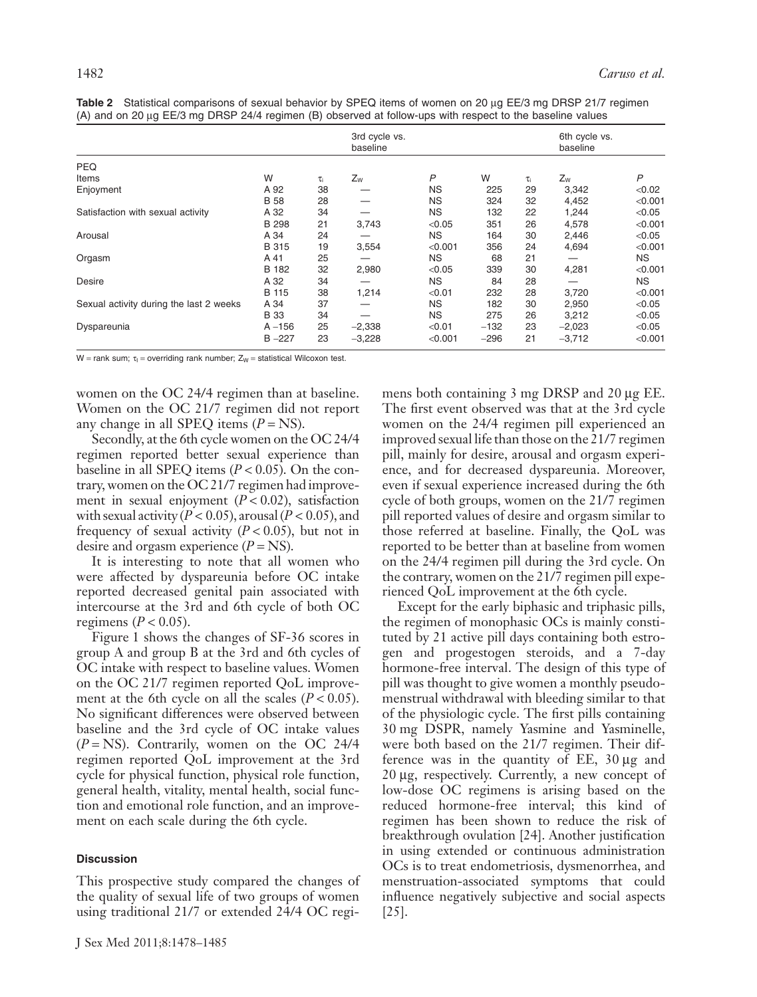|                                         |              | $\sim$   | 3rd cycle vs.<br>baseline |           |        |    | 6th cycle vs.<br>baseline |           |
|-----------------------------------------|--------------|----------|---------------------------|-----------|--------|----|---------------------------|-----------|
| <b>PEQ</b>                              |              |          |                           |           |        |    |                           |           |
| Items                                   | W            | $\tau_i$ | $Z_W$                     | P         | W      | τi | $Z_W$                     | P         |
| Enjoyment                               | A 92         | 38       |                           | <b>NS</b> | 225    | 29 | 3,342                     | < 0.02    |
|                                         | <b>B</b> 58  | 28       |                           | <b>NS</b> | 324    | 32 | 4,452                     | < 0.001   |
| Satisfaction with sexual activity       | A 32         | 34       |                           | <b>NS</b> | 132    | 22 | 1,244                     | < 0.05    |
|                                         | <b>B</b> 298 | 21       | 3,743                     | < 0.05    | 351    | 26 | 4,578                     | < 0.001   |
| Arousal                                 | A 34         | 24       |                           | <b>NS</b> | 164    | 30 | 2,446                     | < 0.05    |
|                                         | <b>B</b> 315 | 19       | 3,554                     | < 0.001   | 356    | 24 | 4,694                     | < 0.001   |
| Orgasm                                  | A 41         | 25       |                           | <b>NS</b> | 68     | 21 |                           | NS.       |
|                                         | B 182        | 32       | 2,980                     | < 0.05    | 339    | 30 | 4,281                     | < 0.001   |
| Desire                                  | A 32         | 34       |                           | <b>NS</b> | 84     | 28 |                           | <b>NS</b> |
|                                         | B 115        | 38       | 1,214                     | < 0.01    | 232    | 28 | 3,720                     | < 0.001   |
| Sexual activity during the last 2 weeks | A 34         | 37       |                           | <b>NS</b> | 182    | 30 | 2,950                     | < 0.05    |
|                                         | <b>B</b> 33  | 34       |                           | <b>NS</b> | 275    | 26 | 3,212                     | < 0.05    |
| Dyspareunia                             | $A - 156$    | 25       | $-2,338$                  | < 0.01    | $-132$ | 23 | $-2,023$                  | < 0.05    |
|                                         | $B - 227$    | 23       | $-3,228$                  | < 0.001   | $-296$ | 21 | $-3,712$                  | < 0.001   |

Table 2 Statistical comparisons of sexual behavior by SPEQ items of women on 20 µg EE/3 mg DRSP 21/7 regimen (A) and on 20  $\mu$ g EE/3 mg DRSP 24/4 regimen (B) observed at follow-ups with respect to the baseline values

W = rank sum;  $\tau_1$  = overriding rank number;  $Z_W$  = statistical Wilcoxon test.

women on the OC 24/4 regimen than at baseline. Women on the OC 21/7 regimen did not report any change in all SPEQ items  $(P = NS)$ .

Secondly, at the 6th cycle women on the OC 24/4 regimen reported better sexual experience than baseline in all SPEQ items  $(P < 0.05)$ . On the contrary, women on the OC 21/7 regimen had improvement in sexual enjoyment  $(P < 0.02)$ , satisfaction with sexual activity  $(P < 0.05)$ , arousal  $(P < 0.05)$ , and frequency of sexual activity  $(P < 0.05)$ , but not in desire and orgasm experience  $(P = NS)$ .

It is interesting to note that all women who were affected by dyspareunia before OC intake reported decreased genital pain associated with intercourse at the 3rd and 6th cycle of both OC regimens ( $P < 0.05$ ).

Figure 1 shows the changes of SF-36 scores in group A and group B at the 3rd and 6th cycles of OC intake with respect to baseline values. Women on the OC 21/7 regimen reported QoL improvement at the 6th cycle on all the scales  $(P < 0.05)$ . No significant differences were observed between baseline and the 3rd cycle of OC intake values (*P* = NS). Contrarily, women on the OC 24/4 regimen reported QoL improvement at the 3rd cycle for physical function, physical role function, general health, vitality, mental health, social function and emotional role function, and an improvement on each scale during the 6th cycle.

## **Discussion**

This prospective study compared the changes of the quality of sexual life of two groups of women using traditional 21/7 or extended 24/4 OC regimens both containing  $3 \text{ mg }$  DRSP and  $20 \mu$ g EE. The first event observed was that at the 3rd cycle women on the 24/4 regimen pill experienced an improved sexual life than those on the 21/7 regimen pill, mainly for desire, arousal and orgasm experience, and for decreased dyspareunia. Moreover, even if sexual experience increased during the 6th cycle of both groups, women on the 21/7 regimen pill reported values of desire and orgasm similar to those referred at baseline. Finally, the QoL was reported to be better than at baseline from women on the 24/4 regimen pill during the 3rd cycle. On the contrary, women on the 21/7 regimen pill experienced QoL improvement at the 6th cycle.

Except for the early biphasic and triphasic pills, the regimen of monophasic OCs is mainly constituted by 21 active pill days containing both estrogen and progestogen steroids, and a 7-day hormone-free interval. The design of this type of pill was thought to give women a monthly pseudomenstrual withdrawal with bleeding similar to that of the physiologic cycle. The first pills containing 30 mg DSPR, namely Yasmine and Yasminelle, were both based on the 21/7 regimen. Their difference was in the quantity of  $EE$ ,  $30 \mu g$  and  $20 \mu$ g, respectively. Currently, a new concept of low-dose OC regimens is arising based on the reduced hormone-free interval; this kind of regimen has been shown to reduce the risk of breakthrough ovulation [24]. Another justification in using extended or continuous administration OCs is to treat endometriosis, dysmenorrhea, and menstruation-associated symptoms that could influence negatively subjective and social aspects [25].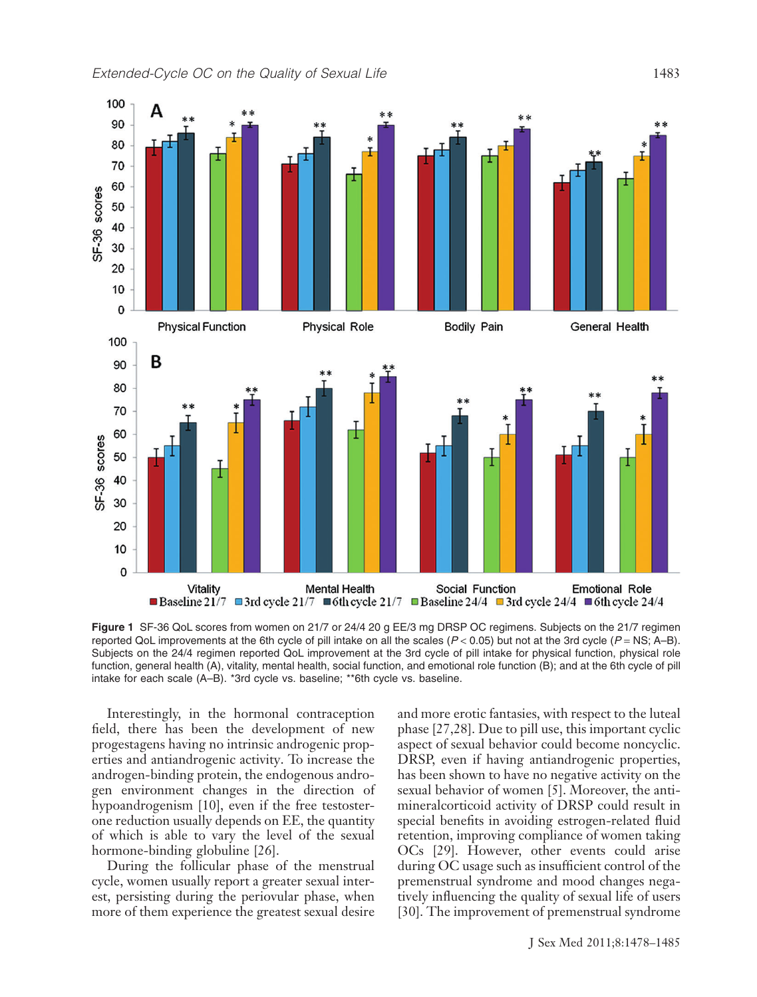

**Figure 1** SF-36 QoL scores from women on 21/7 or 24/4 20 g EE/3 mg DRSP OC regimens. Subjects on the 21/7 regimen reported QoL improvements at the 6th cycle of pill intake on all the scales (*P* < 0.05) but not at the 3rd cycle (*P* = NS; A–B). Subjects on the 24/4 regimen reported QoL improvement at the 3rd cycle of pill intake for physical function, physical role function, general health (A), vitality, mental health, social function, and emotional role function (B); and at the 6th cycle of pill intake for each scale (A–B). \*3rd cycle vs. baseline; \*\*6th cycle vs. baseline.

Interestingly, in the hormonal contraception field, there has been the development of new progestagens having no intrinsic androgenic properties and antiandrogenic activity. To increase the androgen-binding protein, the endogenous androgen environment changes in the direction of hypoandrogenism [10], even if the free testosterone reduction usually depends on EE, the quantity of which is able to vary the level of the sexual hormone-binding globuline [26].

During the follicular phase of the menstrual cycle, women usually report a greater sexual interest, persisting during the periovular phase, when more of them experience the greatest sexual desire and more erotic fantasies, with respect to the luteal phase [27,28]. Due to pill use, this important cyclic aspect of sexual behavior could become noncyclic. DRSP, even if having antiandrogenic properties, has been shown to have no negative activity on the sexual behavior of women [5]. Moreover, the antimineralcorticoid activity of DRSP could result in special benefits in avoiding estrogen-related fluid retention, improving compliance of women taking OCs [29]. However, other events could arise during OC usage such as insufficient control of the premenstrual syndrome and mood changes negatively influencing the quality of sexual life of users [30]. The improvement of premenstrual syndrome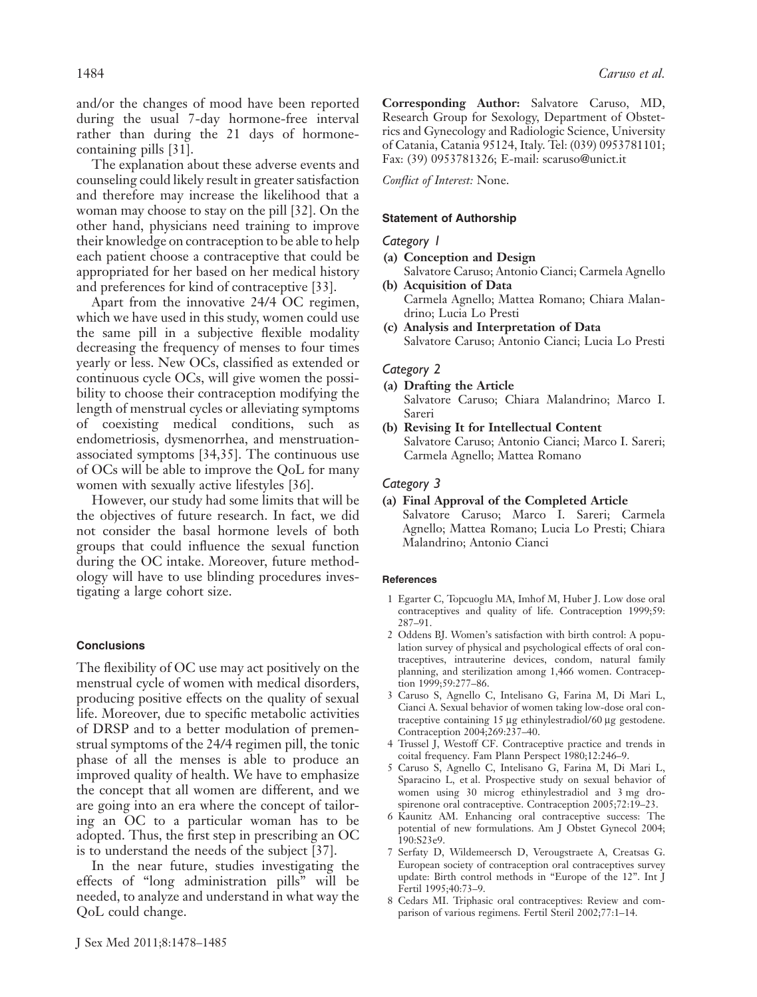and/or the changes of mood have been reported during the usual 7-day hormone-free interval rather than during the 21 days of hormonecontaining pills [31].

The explanation about these adverse events and counseling could likely result in greater satisfaction and therefore may increase the likelihood that a woman may choose to stay on the pill [32]. On the other hand, physicians need training to improve their knowledge on contraception to be able to help each patient choose a contraceptive that could be appropriated for her based on her medical history and preferences for kind of contraceptive [33].

Apart from the innovative 24/4 OC regimen, which we have used in this study, women could use the same pill in a subjective flexible modality decreasing the frequency of menses to four times yearly or less. New OCs, classified as extended or continuous cycle OCs, will give women the possibility to choose their contraception modifying the length of menstrual cycles or alleviating symptoms of coexisting medical conditions, such as endometriosis, dysmenorrhea, and menstruationassociated symptoms [34,35]. The continuous use of OCs will be able to improve the QoL for many women with sexually active lifestyles [36].

However, our study had some limits that will be the objectives of future research. In fact, we did not consider the basal hormone levels of both groups that could influence the sexual function during the OC intake. Moreover, future methodology will have to use blinding procedures investigating a large cohort size.

## **Conclusions**

The flexibility of OC use may act positively on the menstrual cycle of women with medical disorders, producing positive effects on the quality of sexual life. Moreover, due to specific metabolic activities of DRSP and to a better modulation of premenstrual symptoms of the 24/4 regimen pill, the tonic phase of all the menses is able to produce an improved quality of health. We have to emphasize the concept that all women are different, and we are going into an era where the concept of tailoring an OC to a particular woman has to be adopted. Thus, the first step in prescribing an OC is to understand the needs of the subject [37].

In the near future, studies investigating the effects of "long administration pills" will be needed, to analyze and understand in what way the QoL could change.

**Corresponding Author:** Salvatore Caruso, MD, Research Group for Sexology, Department of Obstetrics and Gynecology and Radiologic Science, University of Catania, Catania 95124, Italy. Tel: (039) 0953781101; Fax: (39) 0953781326; E-mail: scaruso@unict.it

*Conflict of Interest:* None.

#### **Statement of Authorship**

## *Category 1*

- **(a) Conception and Design**
- Salvatore Caruso; Antonio Cianci; Carmela Agnello **(b) Acquisition of Data**
- Carmela Agnello; Mattea Romano; Chiara Malandrino; Lucia Lo Presti
- **(c) Analysis and Interpretation of Data** Salvatore Caruso; Antonio Cianci; Lucia Lo Presti

## *Category 2*

- **(a) Drafting the Article** Salvatore Caruso; Chiara Malandrino; Marco I. Sareri
- **(b) Revising It for Intellectual Content** Salvatore Caruso; Antonio Cianci; Marco I. Sareri; Carmela Agnello; Mattea Romano

## *Category 3*

**(a) Final Approval of the Completed Article** Salvatore Caruso; Marco I. Sareri; Carmela Agnello; Mattea Romano; Lucia Lo Presti; Chiara Malandrino; Antonio Cianci

#### **References**

- 1 Egarter C, Topcuoglu MA, Imhof M, Huber J. Low dose oral contraceptives and quality of life. Contraception 1999;59: 287–91.
- 2 Oddens BJ. Women's satisfaction with birth control: A population survey of physical and psychological effects of oral contraceptives, intrauterine devices, condom, natural family planning, and sterilization among 1,466 women. Contraception 1999;59:277–86.
- 3 Caruso S, Agnello C, Intelisano G, Farina M, Di Mari L, Cianci A. Sexual behavior of women taking low-dose oral contraceptive containing 15 µg ethinylestradiol/60 µg gestodene. Contraception 2004;269:237–40.
- 4 Trussel J, Westoff CF. Contraceptive practice and trends in coital frequency. Fam Plann Perspect 1980;12:246–9.
- 5 Caruso S, Agnello C, Intelisano G, Farina M, Di Mari L, Sparacino L, et al. Prospective study on sexual behavior of women using 30 microg ethinylestradiol and 3 mg drospirenone oral contraceptive. Contraception 2005;72:19–23.
- 6 Kaunitz AM. Enhancing oral contraceptive success: The potential of new formulations. Am J Obstet Gynecol 2004; 190:S23e9.
- 7 Serfaty D, Wildemeersch D, Verougstraete A, Creatsas G. European society of contraception oral contraceptives survey update: Birth control methods in "Europe of the 12". Int J Fertil 1995;40:73–9.
- 8 Cedars MI. Triphasic oral contraceptives: Review and comparison of various regimens. Fertil Steril 2002;77:1–14.